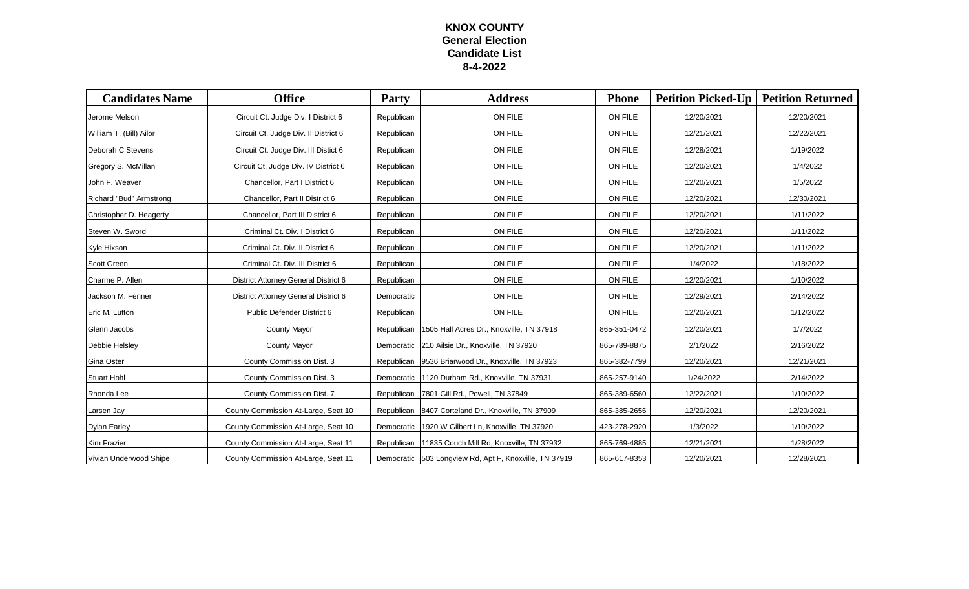## **KNOX COUNTY General Election Candidate List 8-4-2022**

| <b>Candidates Name</b>  | <b>Office</b>                        | <b>Party</b> | <b>Address</b>                                         | <b>Phone</b> | <b>Petition Picked-Up</b> | <b>Petition Returned</b> |
|-------------------------|--------------------------------------|--------------|--------------------------------------------------------|--------------|---------------------------|--------------------------|
| Jerome Melson           | Circuit Ct. Judge Div. I District 6  | Republican   | ON FILE                                                | ON FILE      | 12/20/2021                | 12/20/2021               |
| William T. (Bill) Ailor | Circuit Ct. Judge Div. Il District 6 | Republican   | ON FILE                                                | ON FILE      | 12/21/2021                | 12/22/2021               |
| Deborah C Stevens       | Circuit Ct. Judge Div. III Distict 6 | Republican   | ON FILE                                                | ON FILE      | 12/28/2021                | 1/19/2022                |
| Gregory S. McMillan     | Circuit Ct. Judge Div. IV District 6 | Republican   | ON FILE                                                | ON FILE      | 12/20/2021                | 1/4/2022                 |
| John F. Weaver          | Chancellor, Part I District 6        | Republican   | ON FILE                                                | ON FILE      | 12/20/2021                | 1/5/2022                 |
| Richard "Bud" Armstrong | Chancellor, Part II District 6       | Republican   | ON FILE                                                | ON FILE      | 12/20/2021                | 12/30/2021               |
| Christopher D. Heagerty | Chancellor, Part III District 6      | Republican   | ON FILE                                                | ON FILE      | 12/20/2021                | 1/11/2022                |
| Steven W. Sword         | Criminal Ct. Div. I District 6       | Republican   | ON FILE                                                | ON FILE      | 12/20/2021                | 1/11/2022                |
| Kyle Hixson             | Criminal Ct. Div. Il District 6      | Republican   | ON FILE                                                | ON FILE      | 12/20/2021                | 1/11/2022                |
| <b>Scott Green</b>      | Criminal Ct. Div. III District 6     | Republican   | ON FILE                                                | ON FILE      | 1/4/2022                  | 1/18/2022                |
| Charme P. Allen         | District Attorney General District 6 | Republican   | ON FILE                                                | ON FILE      | 12/20/2021                | 1/10/2022                |
| Jackson M. Fenner       | District Attorney General District 6 | Democratic   | ON FILE                                                | ON FILE      | 12/29/2021                | 2/14/2022                |
| Eric M. Lutton          | Public Defender District 6           | Republican   | ON FILE                                                | ON FILE      | 12/20/2021                | 1/12/2022                |
| Glenn Jacobs            | <b>County Mayor</b>                  |              | Republican   1505 Hall Acres Dr., Knoxville, TN 37918  | 865-351-0472 | 12/20/2021                | 1/7/2022                 |
| Debbie Helsley          | <b>County Mayor</b>                  |              | Democratic 210 Ailsie Dr., Knoxville, TN 37920         | 865-789-8875 | 2/1/2022                  | 2/16/2022                |
| Gina Oster              | County Commission Dist. 3            |              | Republican   9536 Briarwood Dr., Knoxville, TN 37923   | 865-382-7799 | 12/20/2021                | 12/21/2021               |
| <b>Stuart Hohl</b>      | County Commission Dist. 3            |              | Democratic 1120 Durham Rd., Knoxville, TN 37931        | 865-257-9140 | 1/24/2022                 | 2/14/2022                |
| Rhonda Lee              | County Commission Dist. 7            |              | Republican 7801 Gill Rd., Powell, TN 37849             | 865-389-6560 | 12/22/2021                | 1/10/2022                |
| Larsen Jay              | County Commission At-Large, Seat 10  |              | Republican   8407 Corteland Dr., Knoxville, TN 37909   | 865-385-2656 | 12/20/2021                | 12/20/2021               |
| <b>Dylan Earley</b>     | County Commission At-Large, Seat 10  |              | Democratic 1920 W Gilbert Ln, Knoxville, TN 37920      | 423-278-2920 | 1/3/2022                  | 1/10/2022                |
| <b>Kim Frazier</b>      | County Commission At-Large, Seat 11  | Republican   | 11835 Couch Mill Rd, Knoxville, TN 37932               | 865-769-4885 | 12/21/2021                | 1/28/2022                |
| Vivian Underwood Shipe  | County Commission At-Large, Seat 11  |              | Democratic 503 Longview Rd, Apt F, Knoxville, TN 37919 | 865-617-8353 | 12/20/2021                | 12/28/2021               |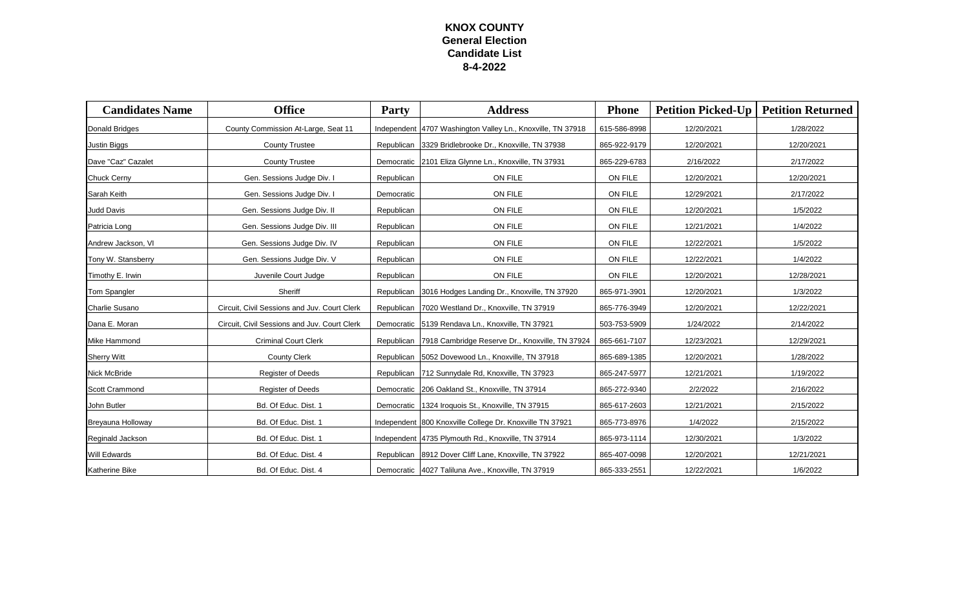## **KNOX COUNTY General Election Candidate List 8-4-2022**

| <b>Candidates Name</b> | <b>Office</b>                                | <b>Party</b> | <b>Address</b>                                               | <b>Phone</b> | <b>Petition Picked-Up</b> | <b>Petition Returned</b> |
|------------------------|----------------------------------------------|--------------|--------------------------------------------------------------|--------------|---------------------------|--------------------------|
| Donald Bridges         | County Commission At-Large, Seat 11          |              | Independent 4707 Washington Valley Ln., Knoxville, TN 37918  | 615-586-8998 | 12/20/2021                | 1/28/2022                |
| Justin Biggs           | <b>County Trustee</b>                        |              | Republican 3329 Bridlebrooke Dr., Knoxville, TN 37938        | 865-922-9179 | 12/20/2021                | 12/20/2021               |
| Dave "Caz" Cazalet     | <b>County Trustee</b>                        |              | Democratic   2101 Eliza Glynne Ln., Knoxville, TN 37931      | 865-229-6783 | 2/16/2022                 | 2/17/2022                |
| Chuck Cerny            | Gen. Sessions Judge Div. I                   | Republican   | ON FILE                                                      | ON FILE      | 12/20/2021                | 12/20/2021               |
| Sarah Keith            | Gen. Sessions Judge Div. I                   | Democratic   | ON FILE                                                      | ON FILE      | 12/29/2021                | 2/17/2022                |
| Judd Davis             | Gen. Sessions Judge Div. II                  | Republican   | ON FILE                                                      | ON FILE      | 12/20/2021                | 1/5/2022                 |
| Patricia Long          | Gen. Sessions Judge Div. III                 | Republican   | ON FILE                                                      | ON FILE      | 12/21/2021                | 1/4/2022                 |
| Andrew Jackson, VI     | Gen. Sessions Judge Div. IV                  | Republican   | ON FILE                                                      | ON FILE      | 12/22/2021                | 1/5/2022                 |
| Tony W. Stansberry     | Gen. Sessions Judge Div. V                   | Republican   | ON FILE                                                      | ON FILE      | 12/22/2021                | 1/4/2022                 |
| Timothy E. Irwin       | Juvenile Court Judge                         | Republican   | ON FILE                                                      | ON FILE      | 12/20/2021                | 12/28/2021               |
| Tom Spangler           | Sheriff                                      |              | Republican 3016 Hodges Landing Dr., Knoxville, TN 37920      | 865-971-3901 | 12/20/2021                | 1/3/2022                 |
| Charlie Susano         | Circuit, Civil Sessions and Juv. Court Clerk |              | Republican 7020 Westland Dr., Knoxville, TN 37919            | 865-776-3949 | 12/20/2021                | 12/22/2021               |
| Dana E. Moran          | Circuit, Civil Sessions and Juv. Court Clerk |              | Democratic 5139 Rendava Ln., Knoxville, TN 37921             | 503-753-5909 | 1/24/2022                 | 2/14/2022                |
| Mike Hammond           | <b>Criminal Court Clerk</b>                  |              | Republican   7918 Cambridge Reserve Dr., Knoxville, TN 37924 | 865-661-7107 | 12/23/2021                | 12/29/2021               |
| <b>Sherry Witt</b>     | <b>County Clerk</b>                          |              | Republican 5052 Dovewood Ln., Knoxville, TN 37918            | 865-689-1385 | 12/20/2021                | 1/28/2022                |
| Nick McBride           | <b>Register of Deeds</b>                     |              | Republican 712 Sunnydale Rd, Knoxville, TN 37923             | 865-247-5977 | 12/21/2021                | 1/19/2022                |
| Scott Crammond         | <b>Register of Deeds</b>                     |              | Democratic 206 Oakland St., Knoxville, TN 37914              | 865-272-9340 | 2/2/2022                  | 2/16/2022                |
| John Butler            | Bd. Of Educ. Dist. 1                         |              | Democratic 1324 Iroquois St., Knoxville, TN 37915            | 865-617-2603 | 12/21/2021                | 2/15/2022                |
| Breyauna Holloway      | Bd. Of Educ. Dist. 1                         |              | Independent 800 Knoxville College Dr. Knoxville TN 37921     | 865-773-8976 | 1/4/2022                  | 2/15/2022                |
| Reginald Jackson       | Bd. Of Educ. Dist. 1                         |              | Independent 4735 Plymouth Rd., Knoxville, TN 37914           | 865-973-1114 | 12/30/2021                | 1/3/2022                 |
| Will Edwards           | Bd. Of Educ. Dist. 4                         |              | Republican 8912 Dover Cliff Lane, Knoxville, TN 37922        | 865-407-0098 | 12/20/2021                | 12/21/2021               |
| Katherine Bike         | Bd. Of Educ. Dist. 4                         |              | Democratic 4027 Taliluna Ave., Knoxville, TN 37919           | 865-333-2551 | 12/22/2021                | 1/6/2022                 |